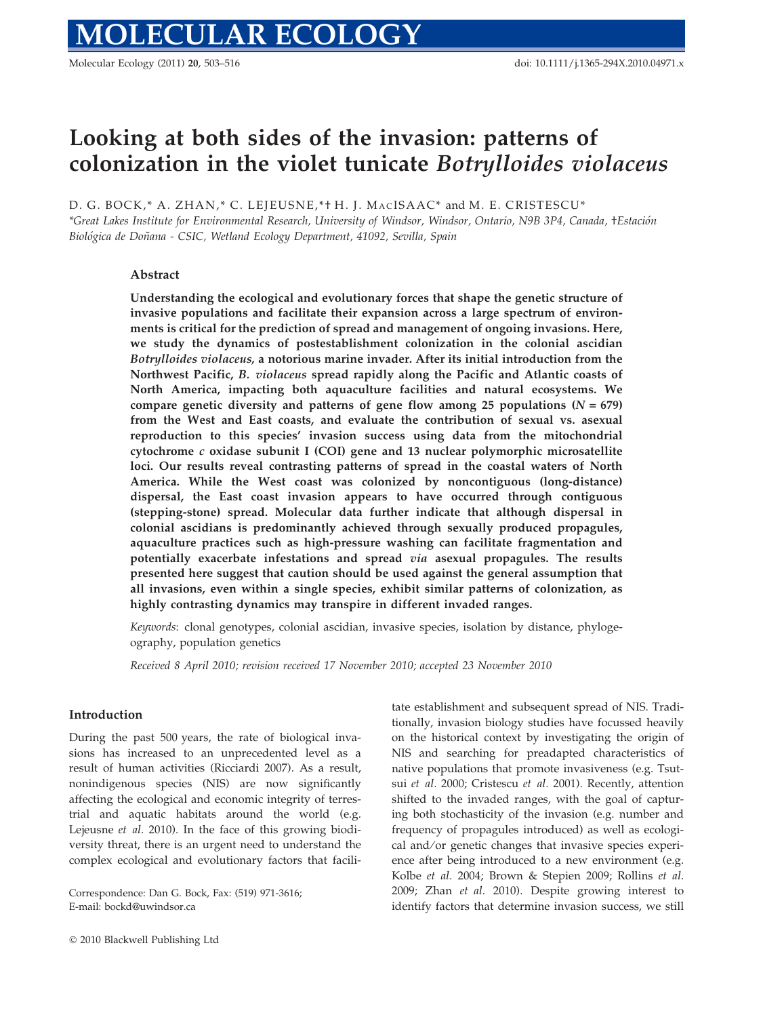Molecular Ecology (2011) 20, 503–516 doi: 10.1111/j.1365-294X.2010.04971.x

# Looking at both sides of the invasion: patterns of colonization in the violet tunicate Botrylloides violaceus

D. G. BOCK,\* A. ZHAN,\* C. LEJEUSNE,\*+ H. J. MACISAAC\* and M. E. CRISTESCU\*

\*Great Lakes Institute for Environmental Research, University of Windsor, Windsor, Ontario, N9B 3P4, Canada, †Estacio´n Biológica de Doñana - CSIC, Wetland Ecology Department, 41092, Sevilla, Spain

# Abstract

Understanding the ecological and evolutionary forces that shape the genetic structure of invasive populations and facilitate their expansion across a large spectrum of environments is critical for the prediction of spread and management of ongoing invasions. Here, we study the dynamics of postestablishment colonization in the colonial ascidian Botrylloides violaceus, a notorious marine invader. After its initial introduction from the Northwest Pacific, B. violaceus spread rapidly along the Pacific and Atlantic coasts of North America, impacting both aquaculture facilities and natural ecosystems. We compare genetic diversity and patterns of gene flow among 25 populations  $(N = 679)$ from the West and East coasts, and evaluate the contribution of sexual vs. asexual reproduction to this species' invasion success using data from the mitochondrial cytochrome  $c$  oxidase subunit I (COI) gene and 13 nuclear polymorphic microsatellite loci. Our results reveal contrasting patterns of spread in the coastal waters of North America. While the West coast was colonized by noncontiguous (long-distance) dispersal, the East coast invasion appears to have occurred through contiguous (stepping-stone) spread. Molecular data further indicate that although dispersal in colonial ascidians is predominantly achieved through sexually produced propagules, aquaculture practices such as high-pressure washing can facilitate fragmentation and potentially exacerbate infestations and spread via asexual propagules. The results presented here suggest that caution should be used against the general assumption that all invasions, even within a single species, exhibit similar patterns of colonization, as highly contrasting dynamics may transpire in different invaded ranges.

Keywords: clonal genotypes, colonial ascidian, invasive species, isolation by distance, phylogeography, population genetics

Received 8 April 2010; revision received 17 November 2010; accepted 23 November 2010

# Introduction

During the past 500 years, the rate of biological invasions has increased to an unprecedented level as a result of human activities (Ricciardi 2007). As a result, nonindigenous species (NIS) are now significantly affecting the ecological and economic integrity of terrestrial and aquatic habitats around the world (e.g. Lejeusne et al. 2010). In the face of this growing biodiversity threat, there is an urgent need to understand the complex ecological and evolutionary factors that facili-

Correspondence: Dan G. Bock, Fax: (519) 971-3616; E-mail: bockd@uwindsor.ca

tate establishment and subsequent spread of NIS. Traditionally, invasion biology studies have focussed heavily on the historical context by investigating the origin of NIS and searching for preadapted characteristics of native populations that promote invasiveness (e.g. Tsutsui et al. 2000; Cristescu et al. 2001). Recently, attention shifted to the invaded ranges, with the goal of capturing both stochasticity of the invasion (e.g. number and frequency of propagules introduced) as well as ecological and/or genetic changes that invasive species experience after being introduced to a new environment (e.g. Kolbe et al. 2004; Brown & Stepien 2009; Rollins et al. 2009; Zhan et al. 2010). Despite growing interest to identify factors that determine invasion success, we still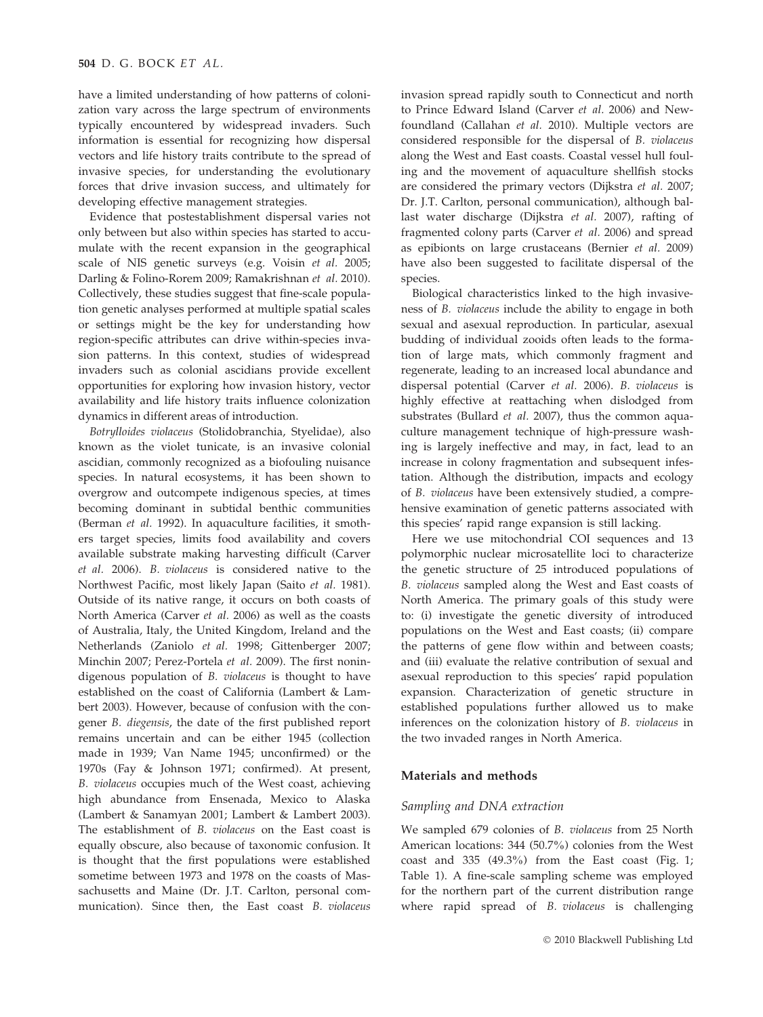have a limited understanding of how patterns of colonization vary across the large spectrum of environments typically encountered by widespread invaders. Such information is essential for recognizing how dispersal vectors and life history traits contribute to the spread of invasive species, for understanding the evolutionary forces that drive invasion success, and ultimately for developing effective management strategies.

Evidence that postestablishment dispersal varies not only between but also within species has started to accumulate with the recent expansion in the geographical scale of NIS genetic surveys (e.g. Voisin et al. 2005; Darling & Folino-Rorem 2009; Ramakrishnan et al. 2010). Collectively, these studies suggest that fine-scale population genetic analyses performed at multiple spatial scales or settings might be the key for understanding how region-specific attributes can drive within-species invasion patterns. In this context, studies of widespread invaders such as colonial ascidians provide excellent opportunities for exploring how invasion history, vector availability and life history traits influence colonization dynamics in different areas of introduction.

Botrylloides violaceus (Stolidobranchia, Styelidae), also known as the violet tunicate, is an invasive colonial ascidian, commonly recognized as a biofouling nuisance species. In natural ecosystems, it has been shown to overgrow and outcompete indigenous species, at times becoming dominant in subtidal benthic communities (Berman et al. 1992). In aquaculture facilities, it smothers target species, limits food availability and covers available substrate making harvesting difficult (Carver et al. 2006). B. violaceus is considered native to the Northwest Pacific, most likely Japan (Saito et al. 1981). Outside of its native range, it occurs on both coasts of North America (Carver et al. 2006) as well as the coasts of Australia, Italy, the United Kingdom, Ireland and the Netherlands (Zaniolo et al. 1998; Gittenberger 2007; Minchin 2007; Perez-Portela et al. 2009). The first nonindigenous population of B. violaceus is thought to have established on the coast of California (Lambert & Lambert 2003). However, because of confusion with the congener B. diegensis, the date of the first published report remains uncertain and can be either 1945 (collection made in 1939; Van Name 1945; unconfirmed) or the 1970s (Fay & Johnson 1971; confirmed). At present, B. violaceus occupies much of the West coast, achieving high abundance from Ensenada, Mexico to Alaska (Lambert & Sanamyan 2001; Lambert & Lambert 2003). The establishment of B. violaceus on the East coast is equally obscure, also because of taxonomic confusion. It is thought that the first populations were established sometime between 1973 and 1978 on the coasts of Massachusetts and Maine (Dr. J.T. Carlton, personal communication). Since then, the East coast B. violaceus

invasion spread rapidly south to Connecticut and north to Prince Edward Island (Carver et al. 2006) and Newfoundland (Callahan et al. 2010). Multiple vectors are considered responsible for the dispersal of B. violaceus along the West and East coasts. Coastal vessel hull fouling and the movement of aquaculture shellfish stocks are considered the primary vectors (Dijkstra et al. 2007; Dr. J.T. Carlton, personal communication), although ballast water discharge (Dijkstra et al. 2007), rafting of fragmented colony parts (Carver et al. 2006) and spread as epibionts on large crustaceans (Bernier et al. 2009) have also been suggested to facilitate dispersal of the species.

Biological characteristics linked to the high invasiveness of B. violaceus include the ability to engage in both sexual and asexual reproduction. In particular, asexual budding of individual zooids often leads to the formation of large mats, which commonly fragment and regenerate, leading to an increased local abundance and dispersal potential (Carver et al. 2006). B. violaceus is highly effective at reattaching when dislodged from substrates (Bullard et al. 2007), thus the common aquaculture management technique of high-pressure washing is largely ineffective and may, in fact, lead to an increase in colony fragmentation and subsequent infestation. Although the distribution, impacts and ecology of B. violaceus have been extensively studied, a comprehensive examination of genetic patterns associated with this species' rapid range expansion is still lacking.

Here we use mitochondrial COI sequences and 13 polymorphic nuclear microsatellite loci to characterize the genetic structure of 25 introduced populations of B. violaceus sampled along the West and East coasts of North America. The primary goals of this study were to: (i) investigate the genetic diversity of introduced populations on the West and East coasts; (ii) compare the patterns of gene flow within and between coasts; and (iii) evaluate the relative contribution of sexual and asexual reproduction to this species' rapid population expansion. Characterization of genetic structure in established populations further allowed us to make inferences on the colonization history of B. violaceus in the two invaded ranges in North America.

#### Materials and methods

## Sampling and DNA extraction

We sampled 679 colonies of B. violaceus from 25 North American locations: 344 (50.7%) colonies from the West coast and 335 (49.3%) from the East coast (Fig. 1; Table 1). A fine-scale sampling scheme was employed for the northern part of the current distribution range where rapid spread of B. violaceus is challenging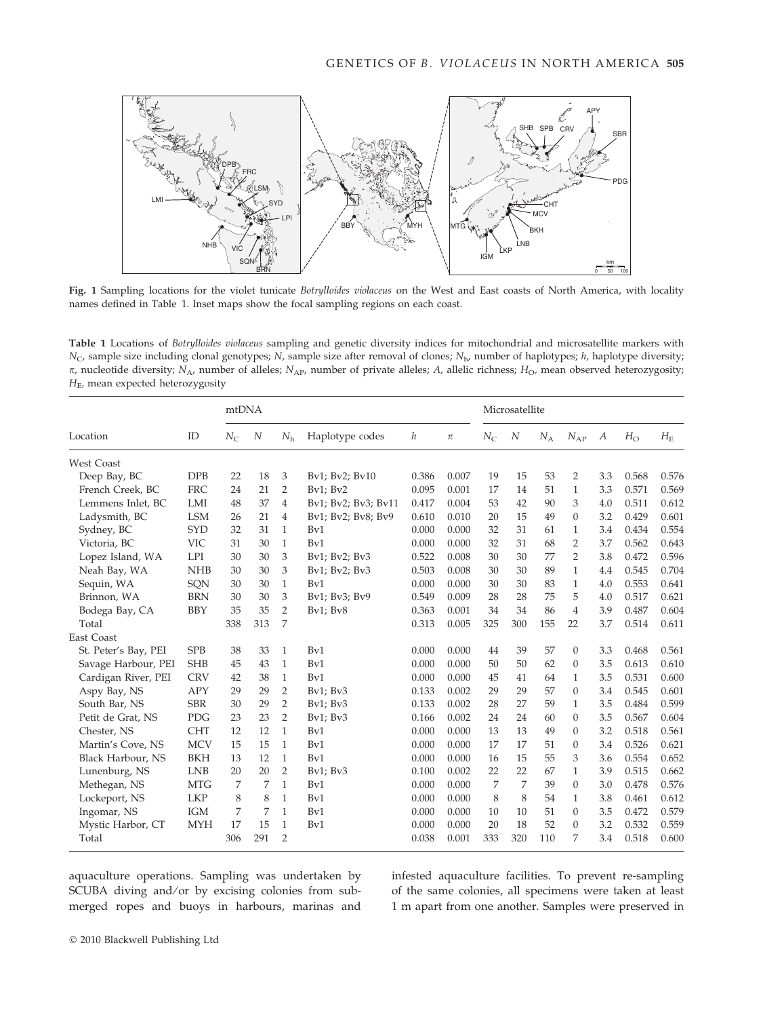

Fig. 1 Sampling locations for the violet tunicate Botrylloides violaceus on the West and East coasts of North America, with locality names defined in Table 1. Inset maps show the focal sampling regions on each coast.

Table 1 Locations of Botrylloides violaceus sampling and genetic diversity indices for mitochondrial and microsatellite markers with  $N_c$ , sample size including clonal genotypes; N, sample size after removal of clones;  $N_{\text{h}}$ , number of haplotypes; h, haplotype diversity;  $\pi$ , nucleotide diversity; N<sub>A</sub>, number of alleles; N<sub>AP</sub>, number of private alleles; A<sub>c</sub>, allelic richness; H<sub>O</sub>, mean observed heterozygosity;  $H<sub>E</sub>$ , mean expected heterozygosity

|                          |            | mtDNA            |     |                |                     | Microsatellite |       |             |     |       |                |     |             |             |
|--------------------------|------------|------------------|-----|----------------|---------------------|----------------|-------|-------------|-----|-------|----------------|-----|-------------|-------------|
| Location                 | ID         | $N_{\rm C}$<br>N |     | $N_{h}$        | Haplotype codes     | h              | $\pi$ | $N_{\rm C}$ | N   | $N_A$ | $N_{AP}$       | A   | $H_{\rm O}$ | $H_{\rm E}$ |
| <b>West Coast</b>        |            |                  |     |                |                     |                |       |             |     |       |                |     |             |             |
| Deep Bay, BC             | <b>DPB</b> | 22               | 18  | 3              | Bv1; Bv2; Bv10      | 0.386          | 0.007 | 19          | 15  | 53    | $\overline{2}$ | 3.3 | 0.568       | 0.576       |
| French Creek, BC         | <b>FRC</b> | 24               | 21  | $\overline{2}$ | $Bv1$ ; $Bv2$       | 0.095          | 0.001 | 17          | 14  | 51    | $\mathbf{1}$   | 3.3 | 0.571       | 0.569       |
| Lemmens Inlet, BC        | LMI        | 48               | 37  | $\overline{4}$ | Bv1; Bv2; Bv3; Bv11 | 0.417          | 0.004 | 53          | 42  | 90    | 3              | 4.0 | 0.511       | 0.612       |
| Ladysmith, BC            | <b>LSM</b> | 26               | 21  | 4              | Bv1; Bv2; Bv8; Bv9  | 0.610          | 0.010 | 20          | 15  | 49    | $\theta$       | 3.2 | 0.429       | 0.601       |
| Sydney, BC               | <b>SYD</b> | 32               | 31  | 1              | Bv1                 | 0.000          | 0.000 | 32          | 31  | 61    | 1              | 3.4 | 0.434       | 0.554       |
| Victoria, BC             | <b>VIC</b> | 31               | 30  | 1              | Bv1                 | 0.000          | 0.000 | 32          | 31  | 68    | $\overline{2}$ | 3.7 | 0.562       | 0.643       |
| Lopez Island, WA         | <b>LPI</b> | 30               | 30  | 3              | Bv1; Bv2; Bv3       | 0.522          | 0.008 | 30          | 30  | 77    | $\overline{2}$ | 3.8 | 0.472       | 0.596       |
| Neah Bay, WA             | <b>NHB</b> | 30               | 30  | 3              | Bv1; Bv2; Bv3       | 0.503          | 0.008 | 30          | 30  | 89    | $\mathbf{1}$   | 4.4 | 0.545       | 0.704       |
| Sequin, WA               | SQN        | 30               | 30  | $\mathbf{1}$   | Bv1                 | 0.000          | 0.000 | 30          | 30  | 83    | $\mathbf{1}$   | 4.0 | 0.553       | 0.641       |
| Brinnon, WA              | <b>BRN</b> | 30               | 30  | 3              | Bv1; Bv3; Bv9       | 0.549          | 0.009 | 28          | 28  | 75    | 5              | 4.0 | 0.517       | 0.621       |
| Bodega Bay, CA           | <b>BBY</b> | 35               | 35  | $\overline{2}$ | $Bv1$ ; $Bv8$       | 0.363          | 0.001 | 34          | 34  | 86    | 4              | 3.9 | 0.487       | 0.604       |
| Total                    |            | 338              | 313 | 7              |                     | 0.313          | 0.005 | 325         | 300 | 155   | 22             | 3.7 | 0.514       | 0.611       |
| <b>East Coast</b>        |            |                  |     |                |                     |                |       |             |     |       |                |     |             |             |
| St. Peter's Bay, PEI     | <b>SPB</b> | 38               | 33  | 1              | Bv1                 | 0.000          | 0.000 | 44          | 39  | 57    | $\theta$       | 3.3 | 0.468       | 0.561       |
| Savage Harbour, PEI      | <b>SHB</b> | 45               | 43  | 1              | Bv1                 | 0.000          | 0.000 | 50          | 50  | 62    | $\theta$       | 3.5 | 0.613       | 0.610       |
| Cardigan River, PEI      | <b>CRV</b> | 42               | 38  | 1              | Bv1                 | 0.000          | 0.000 | 45          | 41  | 64    | 1              | 3.5 | 0.531       | 0.600       |
| Aspy Bay, NS             | <b>APY</b> | 29               | 29  | 2              | $Bv1$ ; $Bv3$       | 0.133          | 0.002 | 29          | 29  | 57    | $\theta$       | 3.4 | 0.545       | 0.601       |
| South Bar, NS            | <b>SBR</b> | 30               | 29  | $\overline{2}$ | $Bv1$ ; $Bv3$       | 0.133          | 0.002 | 28          | 27  | 59    | $\mathbf{1}$   | 3.5 | 0.484       | 0.599       |
| Petit de Grat, NS        | PDG        | 23               | 23  | $\overline{2}$ | Bv1; Bv3            | 0.166          | 0.002 | 24          | 24  | 60    | $\theta$       | 3.5 | 0.567       | 0.604       |
| Chester, NS              | <b>CHT</b> | 12               | 12  | $\mathbf{1}$   | Bv1                 | 0.000          | 0.000 | 13          | 13  | 49    | $\Omega$       | 3.2 | 0.518       | 0.561       |
| Martin's Cove, NS        | <b>MCV</b> | 15               | 15  | 1              | Bv1                 | 0.000          | 0.000 | 17          | 17  | 51    | $\theta$       | 3.4 | 0.526       | 0.621       |
| <b>Black Harbour, NS</b> | <b>BKH</b> | 13               | 12  | 1              | Bv1                 | 0.000          | 0.000 | 16          | 15  | 55    | 3              | 3.6 | 0.554       | 0.652       |
| Lunenburg, NS            | <b>LNB</b> | 20               | 20  | 2              | $Bv1$ ; $Bv3$       | 0.100          | 0.002 | 22          | 22  | 67    | $\mathbf{1}$   | 3.9 | 0.515       | 0.662       |
| Methegan, NS             | <b>MTG</b> | 7                | 7   | 1              | Bv1                 | 0.000          | 0.000 | 7           | 7   | 39    | $\theta$       | 3.0 | 0.478       | 0.576       |
| Lockeport, NS            | <b>LKP</b> | 8                | 8   | 1              | Bv1                 | 0.000          | 0.000 | 8           | 8   | 54    | 1              | 3.8 | 0.461       | 0.612       |
| Ingomar, NS              | <b>IGM</b> | 7                | 7   | 1              | Bv1                 | 0.000          | 0.000 | 10          | 10  | 51    | $\Omega$       | 3.5 | 0.472       | 0.579       |
| Mystic Harbor, CT        | <b>MYH</b> | 17               | 15  | 1              | Bv1                 | 0.000          | 0.000 | 20          | 18  | 52    | $\Omega$       | 3.2 | 0.532       | 0.559       |
| Total                    |            | 306              | 291 | $\overline{2}$ |                     | 0.038          | 0.001 | 333         | 320 | 110   | 7              | 3.4 | 0.518       | 0.600       |

aquaculture operations. Sampling was undertaken by SCUBA diving and/or by excising colonies from submerged ropes and buoys in harbours, marinas and infested aquaculture facilities. To prevent re-sampling of the same colonies, all specimens were taken at least 1 m apart from one another. Samples were preserved in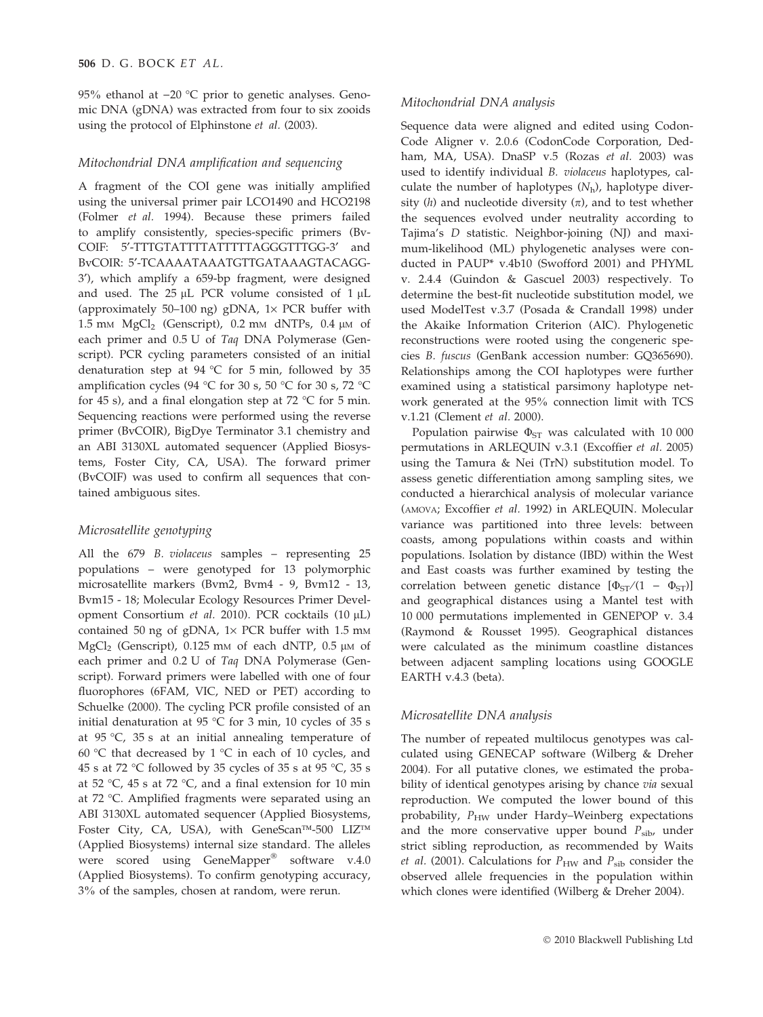95% ethanol at  $-20$  °C prior to genetic analyses. Genomic DNA (gDNA) was extracted from four to six zooids using the protocol of Elphinstone et al. (2003).

# Mitochondrial DNA amplification and sequencing

A fragment of the COI gene was initially amplified using the universal primer pair LCO1490 and HCO2198 (Folmer et al. 1994). Because these primers failed to amplify consistently, species-specific primers (Bv-COIF: 5'-TTTGTATTTTATTTTTAGGGTTTGG-3' and BvCOIR: 5¢-TCAAAATAAATGTTGATAAAGTACAGG-3'), which amplify a 659-bp fragment, were designed and used. The  $25 \mu L$  PCR volume consisted of  $1 \mu L$ (approximately 50–100 ng) gDNA,  $1 \times$  PCR buffer with 1.5 mm  $MgCl<sub>2</sub>$  (Genscript), 0.2 mm dNTPs, 0.4  $\mu$ m of each primer and 0.5 U of Taq DNA Polymerase (Genscript). PCR cycling parameters consisted of an initial denaturation step at 94 °C for 5 min, followed by 35 amplification cycles (94 °C for 30 s, 50 °C for 30 s, 72 °C for 45 s), and a final elongation step at 72  $\degree$ C for 5 min. Sequencing reactions were performed using the reverse primer (BvCOIR), BigDye Terminator 3.1 chemistry and an ABI 3130XL automated sequencer (Applied Biosystems, Foster City, CA, USA). The forward primer (BvCOIF) was used to confirm all sequences that contained ambiguous sites.

# Microsatellite genotyping

All the 679 B. violaceus samples – representing 25 populations – were genotyped for 13 polymorphic microsatellite markers (Bvm2, Bvm4 - 9, Bvm12 - 13, Bvm15 - 18; Molecular Ecology Resources Primer Development Consortium et al. 2010). PCR cocktails  $(10 \mu L)$ contained 50 ng of gDNA,  $1 \times PCR$  buffer with 1.5 mm MgCl<sub>2</sub> (Genscript), 0.125 mm of each dNTP, 0.5  $\mu$ m of each primer and 0.2 U of Taq DNA Polymerase (Genscript). Forward primers were labelled with one of four fluorophores (6FAM, VIC, NED or PET) according to Schuelke (2000). The cycling PCR profile consisted of an initial denaturation at 95 °C for 3 min, 10 cycles of 35 s at 95 °C, 35 s at an initial annealing temperature of 60 °C that decreased by 1 °C in each of 10 cycles, and 45 s at 72 °C followed by 35 cycles of 35 s at 95 °C, 35 s at 52 °C, 45 s at 72 °C, and a final extension for 10 min at 72 °C. Amplified fragments were separated using an ABI 3130XL automated sequencer (Applied Biosystems, Foster City, CA, USA), with GeneScan™-500 LIZ™ (Applied Biosystems) internal size standard. The alleles were scored using GeneMapper<sup>®</sup> software v.4.0 (Applied Biosystems). To confirm genotyping accuracy, 3% of the samples, chosen at random, were rerun.

# Mitochondrial DNA analysis

Sequence data were aligned and edited using Codon-Code Aligner v. 2.0.6 (CodonCode Corporation, Dedham, MA, USA). DnaSP v.5 (Rozas et al. 2003) was used to identify individual B. violaceus haplotypes, calculate the number of haplotypes  $(N_h)$ , haplotype diversity  $(h)$  and nucleotide diversity  $(\pi)$ , and to test whether the sequences evolved under neutrality according to Tajima's D statistic. Neighbor-joining (NJ) and maximum-likelihood (ML) phylogenetic analyses were conducted in PAUP\* v.4b10 (Swofford 2001) and PHYML v. 2.4.4 (Guindon & Gascuel 2003) respectively. To determine the best-fit nucleotide substitution model, we used ModelTest v.3.7 (Posada & Crandall 1998) under the Akaike Information Criterion (AIC). Phylogenetic reconstructions were rooted using the congeneric species B. fuscus (GenBank accession number: GQ365690). Relationships among the COI haplotypes were further examined using a statistical parsimony haplotype network generated at the 95% connection limit with TCS v.1.21 (Clement et al. 2000).

Population pairwise  $\Phi_{ST}$  was calculated with 10 000 permutations in ARLEQUIN v.3.1 (Excoffier et al. 2005) using the Tamura & Nei (TrN) substitution model. To assess genetic differentiation among sampling sites, we conducted a hierarchical analysis of molecular variance (AMOVA; Excoffier et al. 1992) in ARLEQUIN. Molecular variance was partitioned into three levels: between coasts, among populations within coasts and within populations. Isolation by distance (IBD) within the West and East coasts was further examined by testing the correlation between genetic distance  $[\Phi_{ST}/(1 - \Phi_{ST})]$ and geographical distances using a Mantel test with 10 000 permutations implemented in GENEPOP v. 3.4 (Raymond & Rousset 1995). Geographical distances were calculated as the minimum coastline distances between adjacent sampling locations using GOOGLE EARTH v.4.3 (beta).

# Microsatellite DNA analysis

The number of repeated multilocus genotypes was calculated using GENECAP software (Wilberg & Dreher 2004). For all putative clones, we estimated the probability of identical genotypes arising by chance via sexual reproduction. We computed the lower bound of this probability,  $P_{HW}$  under Hardy–Weinberg expectations and the more conservative upper bound  $P_{\rm sib}$ , under strict sibling reproduction, as recommended by Waits et al. (2001). Calculations for  $P_{HW}$  and  $P_{sib}$  consider the observed allele frequencies in the population within which clones were identified (Wilberg & Dreher 2004).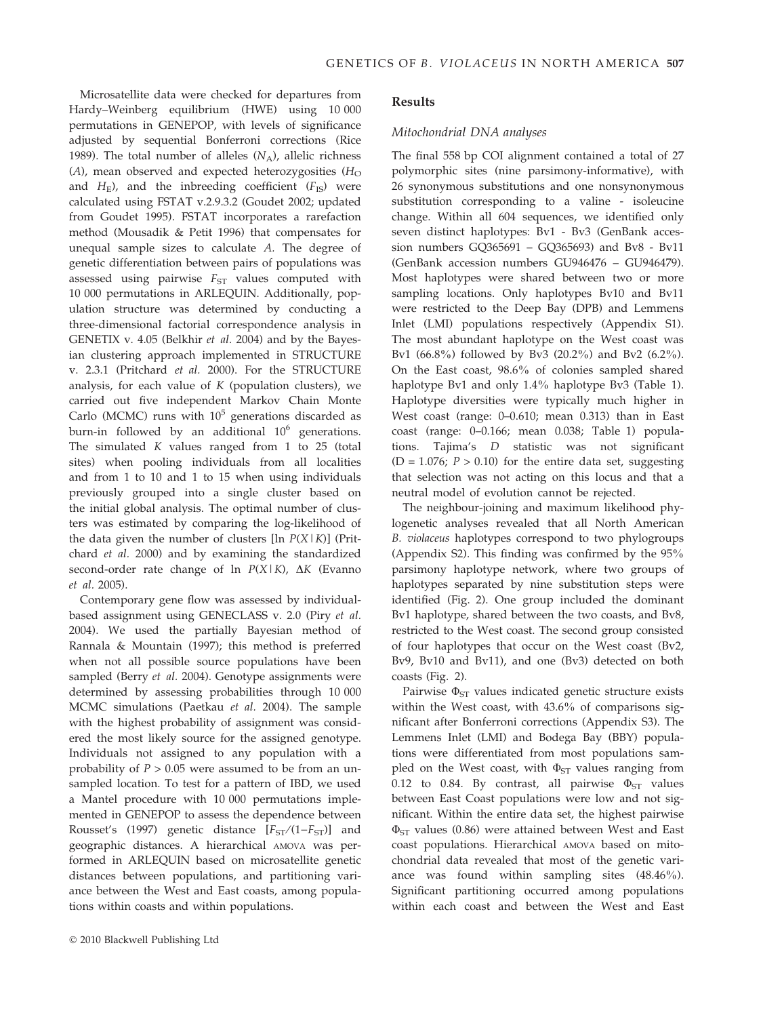Microsatellite data were checked for departures from Hardy–Weinberg equilibrium (HWE) using 10 000 permutations in GENEPOP, with levels of significance adjusted by sequential Bonferroni corrections (Rice 1989). The total number of alleles  $(N_A)$ , allelic richness  $(A)$ , mean observed and expected heterozygosities  $(H<sub>O</sub>)$ and  $H<sub>E</sub>$ ), and the inbreeding coefficient ( $F<sub>IS</sub>$ ) were calculated using FSTAT v.2.9.3.2 (Goudet 2002; updated from Goudet 1995). FSTAT incorporates a rarefaction method (Mousadik & Petit 1996) that compensates for unequal sample sizes to calculate A. The degree of genetic differentiation between pairs of populations was assessed using pairwise  $F_{ST}$  values computed with 10 000 permutations in ARLEQUIN. Additionally, population structure was determined by conducting a three-dimensional factorial correspondence analysis in GENETIX v. 4.05 (Belkhir et al. 2004) and by the Bayesian clustering approach implemented in STRUCTURE v. 2.3.1 (Pritchard et al. 2000). For the STRUCTURE analysis, for each value of  $K$  (population clusters), we carried out five independent Markov Chain Monte Carlo (MCMC) runs with  $10^5$  generations discarded as burn-in followed by an additional  $10^6$  generations. The simulated  $K$  values ranged from 1 to 25 (total sites) when pooling individuals from all localities and from 1 to 10 and 1 to 15 when using individuals previously grouped into a single cluster based on the initial global analysis. The optimal number of clusters was estimated by comparing the log-likelihood of the data given the number of clusters [ $\ln P(X|K)$ ] (Pritchard et al. 2000) and by examining the standardized second-order rate change of  $\ln P(X|K)$ ,  $\Delta K$  (Evanno et al. 2005).

Contemporary gene flow was assessed by individualbased assignment using GENECLASS v. 2.0 (Piry et al. 2004). We used the partially Bayesian method of Rannala & Mountain (1997); this method is preferred when not all possible source populations have been sampled (Berry et al. 2004). Genotype assignments were determined by assessing probabilities through 10 000 MCMC simulations (Paetkau et al. 2004). The sample with the highest probability of assignment was considered the most likely source for the assigned genotype. Individuals not assigned to any population with a probability of  $P > 0.05$  were assumed to be from an unsampled location. To test for a pattern of IBD, we used a Mantel procedure with 10 000 permutations implemented in GENEPOP to assess the dependence between Rousset's (1997) genetic distance  $[F_{ST}/(1-F_{ST})]$  and geographic distances. A hierarchical AMOVA was performed in ARLEQUIN based on microsatellite genetic distances between populations, and partitioning variance between the West and East coasts, among populations within coasts and within populations.

## Results

#### Mitochondrial DNA analyses

The final 558 bp COI alignment contained a total of 27 polymorphic sites (nine parsimony-informative), with 26 synonymous substitutions and one nonsynonymous substitution corresponding to a valine - isoleucine change. Within all 604 sequences, we identified only seven distinct haplotypes: Bv1 - Bv3 (GenBank accession numbers GQ365691 – GQ365693) and Bv8 - Bv11 (GenBank accession numbers GU946476 – GU946479). Most haplotypes were shared between two or more sampling locations. Only haplotypes Bv10 and Bv11 were restricted to the Deep Bay (DPB) and Lemmens Inlet (LMI) populations respectively (Appendix S1). The most abundant haplotype on the West coast was Bv1 (66.8%) followed by Bv3 (20.2%) and Bv2 (6.2%). On the East coast, 98.6% of colonies sampled shared haplotype Bv1 and only 1.4% haplotype Bv3 (Table 1). Haplotype diversities were typically much higher in West coast (range: 0–0.610; mean 0.313) than in East coast (range: 0–0.166; mean 0.038; Table 1) populations. Tajima's D statistic was not significant (D = 1.076;  $P > 0.10$ ) for the entire data set, suggesting that selection was not acting on this locus and that a neutral model of evolution cannot be rejected.

The neighbour-joining and maximum likelihood phylogenetic analyses revealed that all North American B. violaceus haplotypes correspond to two phylogroups (Appendix S2). This finding was confirmed by the 95% parsimony haplotype network, where two groups of haplotypes separated by nine substitution steps were identified (Fig. 2). One group included the dominant Bv1 haplotype, shared between the two coasts, and Bv8, restricted to the West coast. The second group consisted of four haplotypes that occur on the West coast (Bv2, Bv9, Bv10 and Bv11), and one (Bv3) detected on both coasts (Fig. 2).

Pairwise  $\Phi_{ST}$  values indicated genetic structure exists within the West coast, with 43.6% of comparisons significant after Bonferroni corrections (Appendix S3). The Lemmens Inlet (LMI) and Bodega Bay (BBY) populations were differentiated from most populations sampled on the West coast, with  $\Phi_{ST}$  values ranging from 0.12 to 0.84. By contrast, all pairwise  $\Phi_{ST}$  values between East Coast populations were low and not significant. Within the entire data set, the highest pairwise  $\Phi_{ST}$  values (0.86) were attained between West and East coast populations. Hierarchical AMOVA based on mitochondrial data revealed that most of the genetic variance was found within sampling sites (48.46%). Significant partitioning occurred among populations within each coast and between the West and East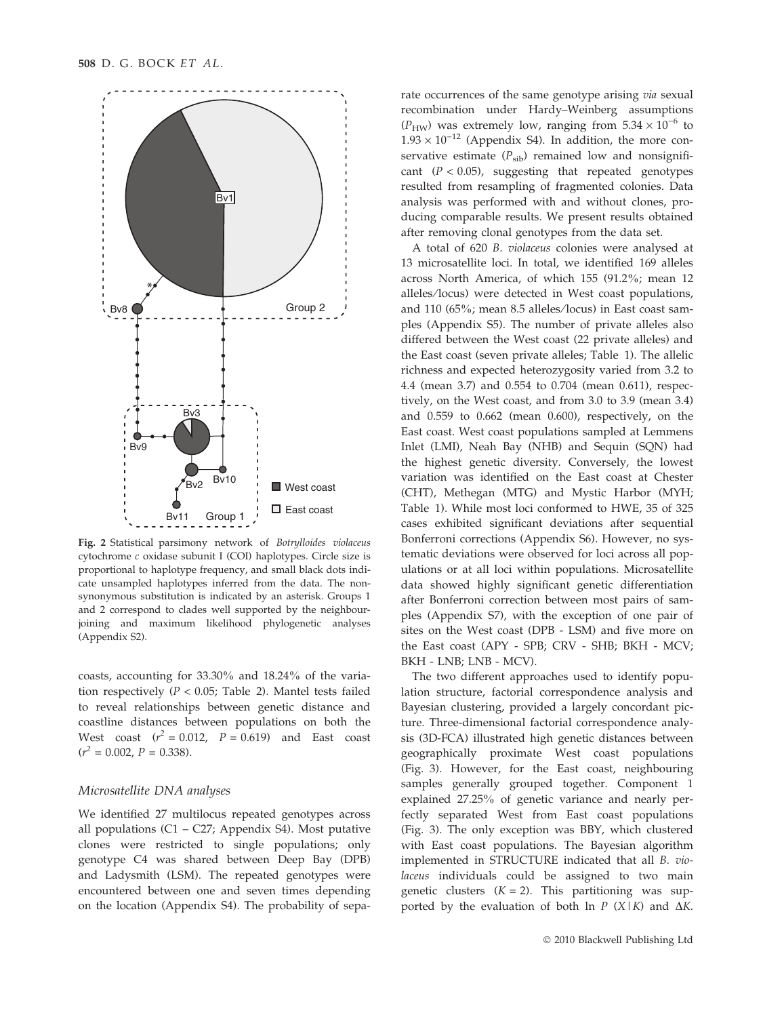

Fig. 2 Statistical parsimony network of Botrylloides violaceus cytochrome c oxidase subunit I (COI) haplotypes. Circle size is proportional to haplotype frequency, and small black dots indicate unsampled haplotypes inferred from the data. The nonsynonymous substitution is indicated by an asterisk. Groups 1 and 2 correspond to clades well supported by the neighbourjoining and maximum likelihood phylogenetic analyses (Appendix S2).

coasts, accounting for 33.30% and 18.24% of the variation respectively ( $P < 0.05$ ; Table 2). Mantel tests failed to reveal relationships between genetic distance and coastline distances between populations on both the West coast  $(r^2 = 0.012, P = 0.619)$  and East coast  $(r^2 = 0.002, P = 0.338).$ 

## Microsatellite DNA analyses

We identified 27 multilocus repeated genotypes across all populations (C1 – C27; Appendix S4). Most putative clones were restricted to single populations; only genotype C4 was shared between Deep Bay (DPB) and Ladysmith (LSM). The repeated genotypes were encountered between one and seven times depending on the location (Appendix S4). The probability of sepa-

rate occurrences of the same genotype arising via sexual recombination under Hardy–Weinberg assumptions  $(P_{HW})$  was extremely low, ranging from  $5.34 \times 10^{-6}$  to  $1.93 \times 10^{-12}$  (Appendix S4). In addition, the more conservative estimate  $(P_{sib})$  remained low and nonsignificant  $(P < 0.05)$ , suggesting that repeated genotypes resulted from resampling of fragmented colonies. Data analysis was performed with and without clones, producing comparable results. We present results obtained after removing clonal genotypes from the data set.

A total of 620 B. violaceus colonies were analysed at 13 microsatellite loci. In total, we identified 169 alleles across North America, of which 155 (91.2%; mean 12 alleles/locus) were detected in West coast populations, and 110 (65%; mean 8.5 alleles/locus) in East coast samples (Appendix S5). The number of private alleles also differed between the West coast (22 private alleles) and the East coast (seven private alleles; Table 1). The allelic richness and expected heterozygosity varied from 3.2 to 4.4 (mean 3.7) and 0.554 to 0.704 (mean 0.611), respectively, on the West coast, and from 3.0 to 3.9 (mean 3.4) and 0.559 to 0.662 (mean 0.600), respectively, on the East coast. West coast populations sampled at Lemmens Inlet (LMI), Neah Bay (NHB) and Sequin (SQN) had the highest genetic diversity. Conversely, the lowest variation was identified on the East coast at Chester (CHT), Methegan (MTG) and Mystic Harbor (MYH; Table 1). While most loci conformed to HWE, 35 of 325 cases exhibited significant deviations after sequential Bonferroni corrections (Appendix S6). However, no systematic deviations were observed for loci across all populations or at all loci within populations. Microsatellite data showed highly significant genetic differentiation after Bonferroni correction between most pairs of samples (Appendix S7), with the exception of one pair of sites on the West coast (DPB - LSM) and five more on the East coast (APY - SPB; CRV - SHB; BKH - MCV; BKH - LNB; LNB - MCV).

The two different approaches used to identify population structure, factorial correspondence analysis and Bayesian clustering, provided a largely concordant picture. Three-dimensional factorial correspondence analysis (3D-FCA) illustrated high genetic distances between geographically proximate West coast populations (Fig. 3). However, for the East coast, neighbouring samples generally grouped together. Component 1 explained 27.25% of genetic variance and nearly perfectly separated West from East coast populations (Fig. 3). The only exception was BBY, which clustered with East coast populations. The Bayesian algorithm implemented in STRUCTURE indicated that all B. violaceus individuals could be assigned to two main genetic clusters  $(K = 2)$ . This partitioning was supported by the evaluation of both ln  $P$  (X|K) and  $\Delta K$ .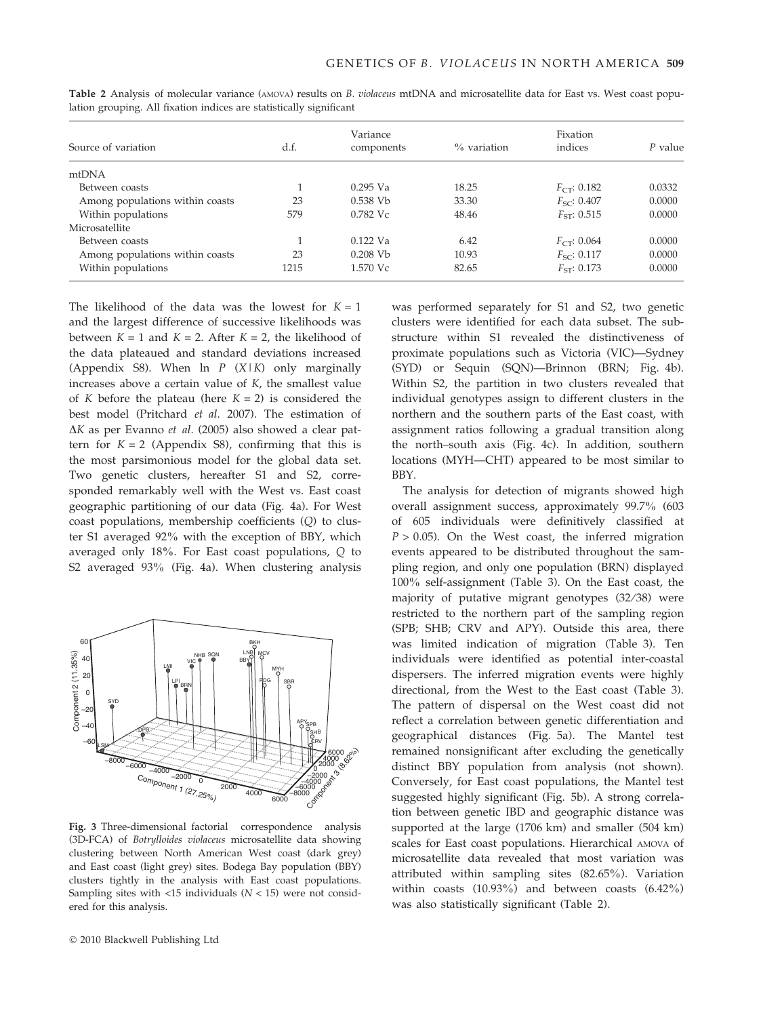| Source of variation             | d.f. | Variance<br>components | $\%$ variation | Fixation<br>indices | $P$ value |
|---------------------------------|------|------------------------|----------------|---------------------|-----------|
|                                 |      |                        |                |                     |           |
| mtDNA                           |      |                        |                |                     |           |
| Between coasts                  |      | $0.295$ Va             | 18.25          | $F_{CT}$ : 0.182    | 0.0332    |
| Among populations within coasts | 23   | $0.538$ Vb             | 33.30          | $F_{SC}$ : 0.407    | 0.0000    |
| Within populations              | 579  | $0.782$ Vc             | 48.46          | $FST}$ : 0.515      | 0.0000    |
| Microsatellite                  |      |                        |                |                     |           |
| Between coasts                  |      | $0.122$ Va             | 6.42           | $F_{CT}$ : 0.064    | 0.0000    |
| Among populations within coasts | 23   | $0.208$ Vb             | 10.93          | $F_{SC}$ : 0.117    | 0.0000    |
| Within populations              | 1215 | 1.570 Vc               | 82.65          | $F_{ST}$ : 0.173    | 0.0000    |

Table 2 Analysis of molecular variance (AMOVA) results on B. violaceus mtDNA and microsatellite data for East vs. West coast population grouping. All fixation indices are statistically significant

The likelihood of the data was the lowest for  $K = 1$ and the largest difference of successive likelihoods was between  $K = 1$  and  $K = 2$ . After  $K = 2$ , the likelihood of the data plateaued and standard deviations increased (Appendix S8). When  $\ln P$  (X|K) only marginally increases above a certain value of K, the smallest value of K before the plateau (here  $K = 2$ ) is considered the best model (Pritchard et al. 2007). The estimation of  $\Delta K$  as per Evanno et al. (2005) also showed a clear pattern for  $K = 2$  (Appendix S8), confirming that this is the most parsimonious model for the global data set. Two genetic clusters, hereafter S1 and S2, corresponded remarkably well with the West vs. East coast geographic partitioning of our data (Fig. 4a). For West coast populations, membership coefficients (Q) to cluster S1 averaged 92% with the exception of BBY, which averaged only 18%. For East coast populations, Q to S2 averaged 93% (Fig. 4a). When clustering analysis



Fig. 3 Three-dimensional factorial correspondence analysis (3D-FCA) of Botrylloides violaceus microsatellite data showing clustering between North American West coast (dark grey) and East coast (light grey) sites. Bodega Bay population (BBY) clusters tightly in the analysis with East coast populations. Sampling sites with  $\langle 15 \rangle$  individuals ( $N \langle 15 \rangle$ ) were not considered for this analysis.

was performed separately for S1 and S2, two genetic clusters were identified for each data subset. The substructure within S1 revealed the distinctiveness of proximate populations such as Victoria (VIC)—Sydney (SYD) or Sequin (SQN)—Brinnon (BRN; Fig. 4b). Within S2, the partition in two clusters revealed that individual genotypes assign to different clusters in the northern and the southern parts of the East coast, with assignment ratios following a gradual transition along the north–south axis (Fig. 4c). In addition, southern locations (MYH—CHT) appeared to be most similar to BBY.

The analysis for detection of migrants showed high overall assignment success, approximately 99.7% (603 of 605 individuals were definitively classified at  $P > 0.05$ ). On the West coast, the inferred migration events appeared to be distributed throughout the sampling region, and only one population (BRN) displayed 100% self-assignment (Table 3). On the East coast, the majority of putative migrant genotypes (32/38) were restricted to the northern part of the sampling region (SPB; SHB; CRV and APY). Outside this area, there was limited indication of migration (Table 3). Ten individuals were identified as potential inter-coastal dispersers. The inferred migration events were highly directional, from the West to the East coast (Table 3). The pattern of dispersal on the West coast did not reflect a correlation between genetic differentiation and geographical distances (Fig. 5a). The Mantel test remained nonsignificant after excluding the genetically distinct BBY population from analysis (not shown). Conversely, for East coast populations, the Mantel test suggested highly significant (Fig. 5b). A strong correlation between genetic IBD and geographic distance was supported at the large (1706 km) and smaller (504 km) scales for East coast populations. Hierarchical AMOVA of microsatellite data revealed that most variation was attributed within sampling sites (82.65%). Variation within coasts (10.93%) and between coasts (6.42%) was also statistically significant (Table 2).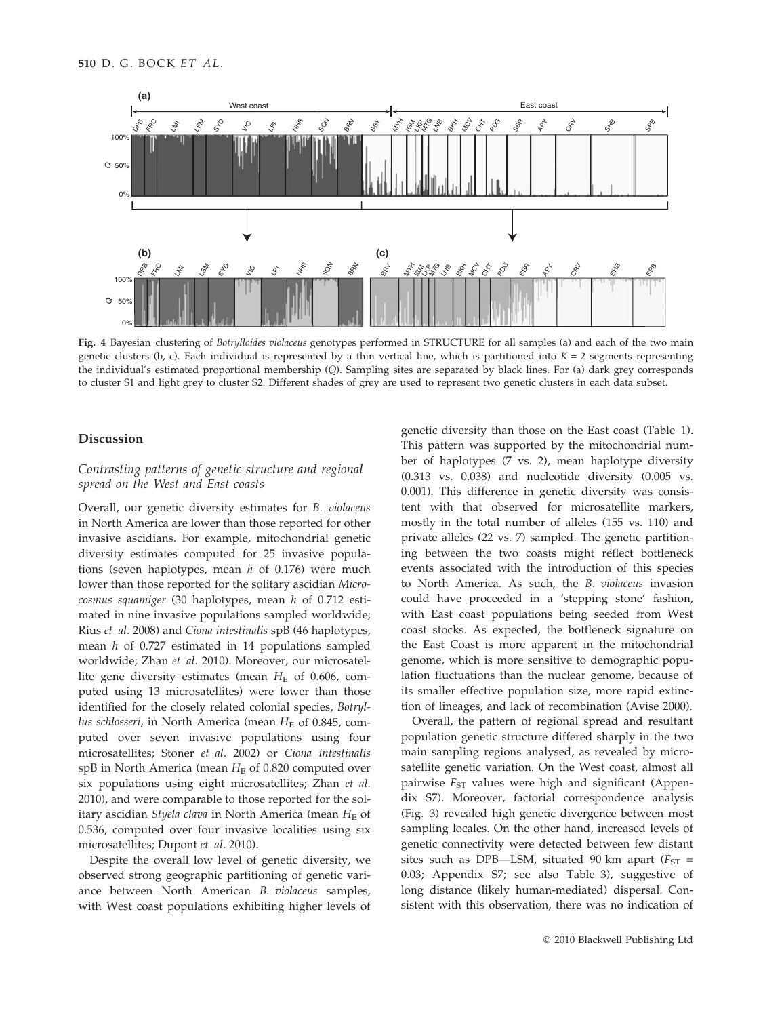

Fig. 4 Bayesian clustering of Botrylloides violaceus genotypes performed in STRUCTURE for all samples (a) and each of the two main genetic clusters (b, c). Each individual is represented by a thin vertical line, which is partitioned into  $K = 2$  segments representing the individual's estimated proportional membership (Q). Sampling sites are separated by black lines. For (a) dark grey corresponds to cluster S1 and light grey to cluster S2. Different shades of grey are used to represent two genetic clusters in each data subset.

#### Discussion

# Contrasting patterns of genetic structure and regional spread on the West and East coasts

Overall, our genetic diversity estimates for B. violaceus in North America are lower than those reported for other invasive ascidians. For example, mitochondrial genetic diversity estimates computed for 25 invasive populations (seven haplotypes, mean  $h$  of 0.176) were much lower than those reported for the solitary ascidian Microcosmus squamiger (30 haplotypes, mean h of 0.712 estimated in nine invasive populations sampled worldwide; Rius et al. 2008) and Ciona intestinalis spB (46 haplotypes, mean  $h$  of 0.727 estimated in 14 populations sampled worldwide; Zhan et al. 2010). Moreover, our microsatellite gene diversity estimates (mean  $H<sub>E</sub>$  of 0.606, computed using 13 microsatellites) were lower than those identified for the closely related colonial species, Botryllus schlosseri, in North America (mean  $H<sub>E</sub>$  of 0.845, computed over seven invasive populations using four microsatellites; Stoner et al. 2002) or Ciona intestinalis spB in North America (mean  $H<sub>E</sub>$  of 0.820 computed over six populations using eight microsatellites; Zhan et al. 2010), and were comparable to those reported for the solitary ascidian Styela clava in North America (mean  $H_E$  of 0.536, computed over four invasive localities using six microsatellites; Dupont et al. 2010).

Despite the overall low level of genetic diversity, we observed strong geographic partitioning of genetic variance between North American B. violaceus samples, with West coast populations exhibiting higher levels of genetic diversity than those on the East coast (Table 1). This pattern was supported by the mitochondrial number of haplotypes (7 vs. 2), mean haplotype diversity (0.313 vs. 0.038) and nucleotide diversity (0.005 vs. 0.001). This difference in genetic diversity was consistent with that observed for microsatellite markers, mostly in the total number of alleles (155 vs. 110) and private alleles (22 vs. 7) sampled. The genetic partitioning between the two coasts might reflect bottleneck events associated with the introduction of this species to North America. As such, the B. violaceus invasion could have proceeded in a 'stepping stone' fashion, with East coast populations being seeded from West coast stocks. As expected, the bottleneck signature on the East Coast is more apparent in the mitochondrial genome, which is more sensitive to demographic population fluctuations than the nuclear genome, because of its smaller effective population size, more rapid extinction of lineages, and lack of recombination (Avise 2000).

Overall, the pattern of regional spread and resultant population genetic structure differed sharply in the two main sampling regions analysed, as revealed by microsatellite genetic variation. On the West coast, almost all pairwise  $F_{ST}$  values were high and significant (Appendix S7). Moreover, factorial correspondence analysis (Fig. 3) revealed high genetic divergence between most sampling locales. On the other hand, increased levels of genetic connectivity were detected between few distant sites such as DPB-LSM, situated 90 km apart ( $F_{ST}$  = 0.03; Appendix S7; see also Table 3), suggestive of long distance (likely human-mediated) dispersal. Consistent with this observation, there was no indication of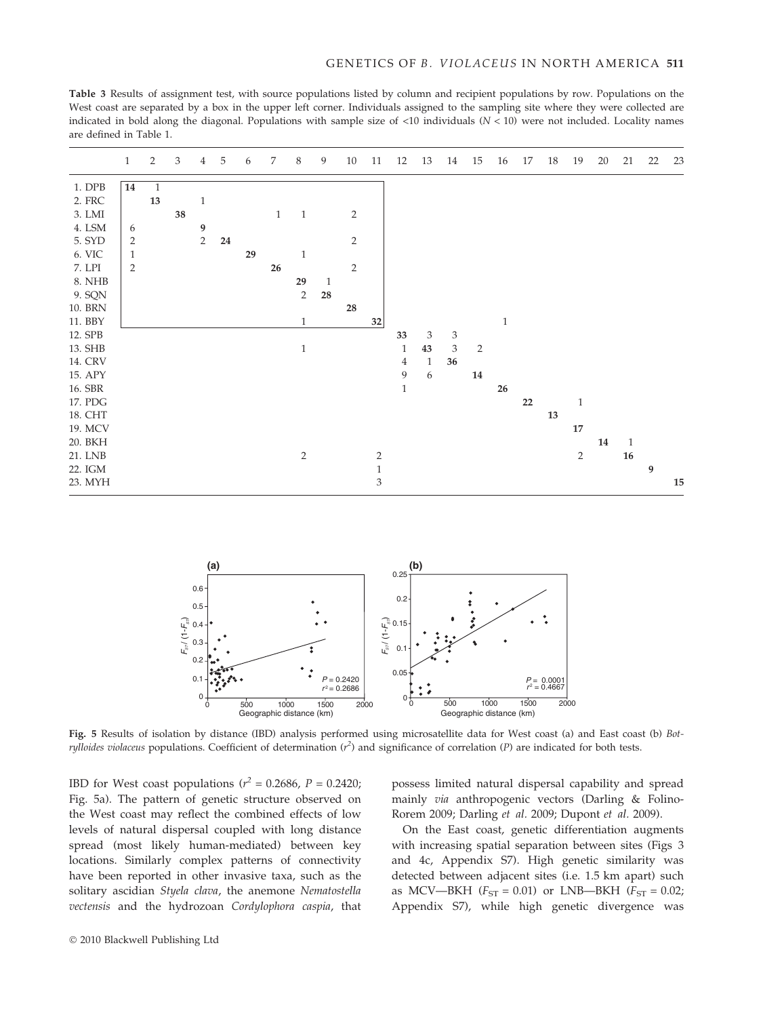Table 3 Results of assignment test, with source populations listed by column and recipient populations by row. Populations on the West coast are separated by a box in the upper left corner. Individuals assigned to the sampling site where they were collected are indicated in bold along the diagonal. Populations with sample size of <10 individuals  $(N < 10)$  were not included. Locality names are defined in Table 1.

|         | $\mathbf{1}$   | 2            | 3  | $\overline{4}$ | - 5 | 6  | 7            | 8              | 9            | 10             | 11             | 12           | 13           | 14 | 15             | 16           | 17 | 18 | 19           | 20 | 21           | 22 | 23 |
|---------|----------------|--------------|----|----------------|-----|----|--------------|----------------|--------------|----------------|----------------|--------------|--------------|----|----------------|--------------|----|----|--------------|----|--------------|----|----|
| 1. DPB  | 14             | $\mathbf{1}$ |    |                |     |    |              |                |              |                |                |              |              |    |                |              |    |    |              |    |              |    |    |
| 2. FRC  |                | 13           |    | $\mathbf{1}$   |     |    |              |                |              |                |                |              |              |    |                |              |    |    |              |    |              |    |    |
| 3. LMI  |                |              | 38 |                |     |    | $\mathbf{1}$ | $\mathbf{1}$   |              | 2              |                |              |              |    |                |              |    |    |              |    |              |    |    |
| 4. LSM  | 6              |              |    | 9              |     |    |              |                |              |                |                |              |              |    |                |              |    |    |              |    |              |    |    |
| 5. SYD  | $\overline{2}$ |              |    | $\sqrt{2}$     | 24  |    |              |                |              | $\mathbf{2}$   |                |              |              |    |                |              |    |    |              |    |              |    |    |
| 6. VIC  | 1              |              |    |                |     | 29 |              | $\mathbf{1}$   |              |                |                |              |              |    |                |              |    |    |              |    |              |    |    |
| 7. LPI  | $\overline{2}$ |              |    |                |     |    | 26           |                |              | $\overline{2}$ |                |              |              |    |                |              |    |    |              |    |              |    |    |
| 8. NHB  |                |              |    |                |     |    |              | 29             | $\mathbf{1}$ |                |                |              |              |    |                |              |    |    |              |    |              |    |    |
| 9. SQN  |                |              |    |                |     |    |              | $\overline{2}$ | 28           |                |                |              |              |    |                |              |    |    |              |    |              |    |    |
| 10. BRN |                |              |    |                |     |    |              |                |              | 28             |                |              |              |    |                |              |    |    |              |    |              |    |    |
| 11. BBY |                |              |    |                |     |    |              | $\mathbf{1}$   |              |                | $32\,$         |              |              |    |                | $\mathbf{1}$ |    |    |              |    |              |    |    |
| 12. SPB |                |              |    |                |     |    |              |                |              |                |                | 33           | 3            | 3  |                |              |    |    |              |    |              |    |    |
| 13. SHB |                |              |    |                |     |    |              | $\mathbf{1}$   |              |                |                | $\mathbf{1}$ | 43           | 3  | $\overline{2}$ |              |    |    |              |    |              |    |    |
| 14. CRV |                |              |    |                |     |    |              |                |              |                |                | 4            | $\mathbf{1}$ | 36 |                |              |    |    |              |    |              |    |    |
| 15. APY |                |              |    |                |     |    |              |                |              |                |                | 9            | 6            |    | $14\,$         |              |    |    |              |    |              |    |    |
| 16. SBR |                |              |    |                |     |    |              |                |              |                |                | $\mathbf{1}$ |              |    |                | 26           |    |    |              |    |              |    |    |
| 17. PDG |                |              |    |                |     |    |              |                |              |                |                |              |              |    |                |              | 22 |    | $\mathbf{1}$ |    |              |    |    |
| 18. CHT |                |              |    |                |     |    |              |                |              |                |                |              |              |    |                |              |    | 13 |              |    |              |    |    |
| 19. MCV |                |              |    |                |     |    |              |                |              |                |                |              |              |    |                |              |    |    | 17           |    |              |    |    |
| 20. BKH |                |              |    |                |     |    |              |                |              |                |                |              |              |    |                |              |    |    |              | 14 | $\mathbf{1}$ |    |    |
| 21. LNB |                |              |    |                |     |    |              | $\overline{2}$ |              |                | $\overline{2}$ |              |              |    |                |              |    |    | $\sqrt{2}$   |    | ${\bf 16}$   |    |    |
| 22. IGM |                |              |    |                |     |    |              |                |              |                | $\mathbf{1}$   |              |              |    |                |              |    |    |              |    |              | 9  |    |
| 23. MYH |                |              |    |                |     |    |              |                |              |                | 3              |              |              |    |                |              |    |    |              |    |              |    | 15 |
|         |                |              |    |                |     |    |              |                |              |                |                |              |              |    |                |              |    |    |              |    |              |    |    |



Fig. 5 Results of isolation by distance (IBD) analysis performed using microsatellite data for West coast (a) and East coast (b) Bot*rylloides violaceus* populations. Coefficient of determination  $(r^2)$  and significance of correlation (P) are indicated for both tests.

IBD for West coast populations ( $r^2 = 0.2686$ ,  $P = 0.2420$ ; Fig. 5a). The pattern of genetic structure observed on the West coast may reflect the combined effects of low levels of natural dispersal coupled with long distance spread (most likely human-mediated) between key locations. Similarly complex patterns of connectivity have been reported in other invasive taxa, such as the solitary ascidian Styela clava, the anemone Nematostella vectensis and the hydrozoan Cordylophora caspia, that

possess limited natural dispersal capability and spread mainly via anthropogenic vectors (Darling & Folino-Rorem 2009; Darling et al. 2009; Dupont et al. 2009).

On the East coast, genetic differentiation augments with increasing spatial separation between sites (Figs 3 and 4c, Appendix S7). High genetic similarity was detected between adjacent sites (i.e. 1.5 km apart) such as MCV—BKH ( $F_{ST} = 0.01$ ) or LNB—BKH ( $F_{ST} = 0.02$ ; Appendix S7), while high genetic divergence was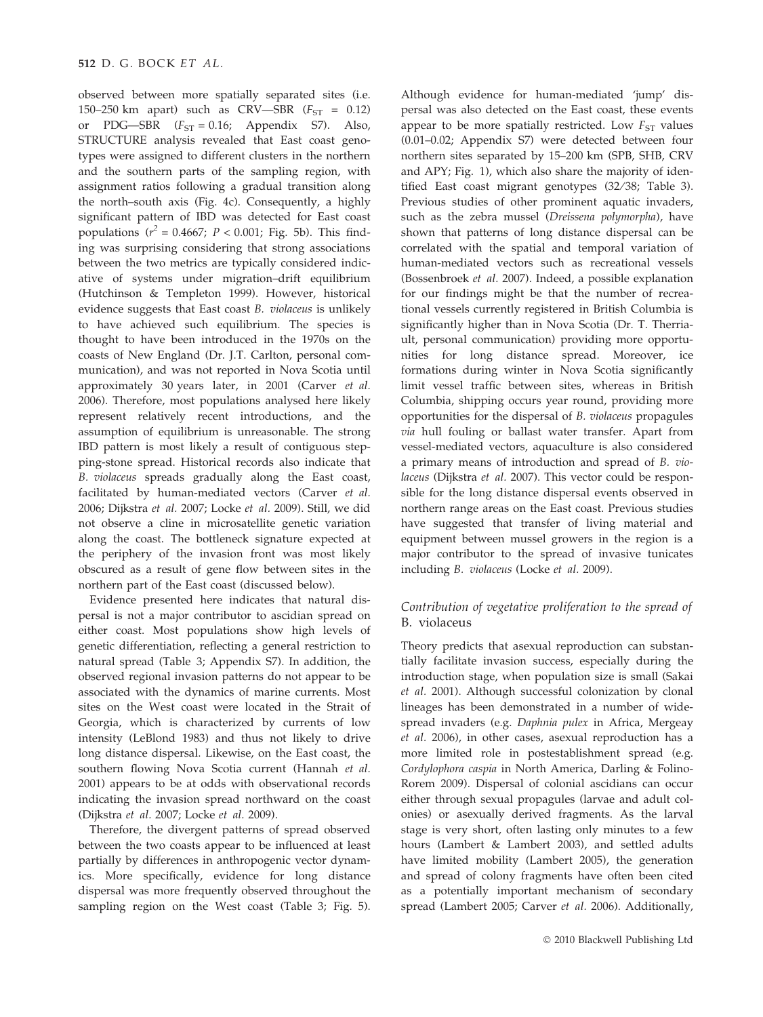observed between more spatially separated sites (i.e. 150–250 km apart) such as  $CRV$ —SBR ( $F_{ST}$  = 0.12) or PDG—SBR  $(F_{ST} = 0.16;$  Appendix S7). Also, STRUCTURE analysis revealed that East coast genotypes were assigned to different clusters in the northern and the southern parts of the sampling region, with assignment ratios following a gradual transition along the north–south axis (Fig. 4c). Consequently, a highly significant pattern of IBD was detected for East coast populations ( $r^2 = 0.4667$ ;  $P < 0.001$ ; Fig. 5b). This finding was surprising considering that strong associations between the two metrics are typically considered indicative of systems under migration–drift equilibrium (Hutchinson & Templeton 1999). However, historical evidence suggests that East coast B. violaceus is unlikely to have achieved such equilibrium. The species is thought to have been introduced in the 1970s on the coasts of New England (Dr. J.T. Carlton, personal communication), and was not reported in Nova Scotia until approximately 30 years later, in 2001 (Carver et al. 2006). Therefore, most populations analysed here likely represent relatively recent introductions, and the assumption of equilibrium is unreasonable. The strong IBD pattern is most likely a result of contiguous stepping-stone spread. Historical records also indicate that B. violaceus spreads gradually along the East coast, facilitated by human-mediated vectors (Carver et al. 2006; Dijkstra et al. 2007; Locke et al. 2009). Still, we did not observe a cline in microsatellite genetic variation along the coast. The bottleneck signature expected at the periphery of the invasion front was most likely obscured as a result of gene flow between sites in the northern part of the East coast (discussed below).

Evidence presented here indicates that natural dispersal is not a major contributor to ascidian spread on either coast. Most populations show high levels of genetic differentiation, reflecting a general restriction to natural spread (Table 3; Appendix S7). In addition, the observed regional invasion patterns do not appear to be associated with the dynamics of marine currents. Most sites on the West coast were located in the Strait of Georgia, which is characterized by currents of low intensity (LeBlond 1983) and thus not likely to drive long distance dispersal. Likewise, on the East coast, the southern flowing Nova Scotia current (Hannah et al. 2001) appears to be at odds with observational records indicating the invasion spread northward on the coast (Dijkstra et al. 2007; Locke et al. 2009).

Therefore, the divergent patterns of spread observed between the two coasts appear to be influenced at least partially by differences in anthropogenic vector dynamics. More specifically, evidence for long distance dispersal was more frequently observed throughout the sampling region on the West coast (Table 3; Fig. 5).

Although evidence for human-mediated 'jump' dispersal was also detected on the East coast, these events appear to be more spatially restricted. Low  $F_{ST}$  values (0.01–0.02; Appendix S7) were detected between four northern sites separated by 15–200 km (SPB, SHB, CRV and APY; Fig. 1), which also share the majority of identified East coast migrant genotypes (32/38; Table 3). Previous studies of other prominent aquatic invaders, such as the zebra mussel (Dreissena polymorpha), have shown that patterns of long distance dispersal can be correlated with the spatial and temporal variation of human-mediated vectors such as recreational vessels (Bossenbroek et al. 2007). Indeed, a possible explanation for our findings might be that the number of recreational vessels currently registered in British Columbia is significantly higher than in Nova Scotia (Dr. T. Therriault, personal communication) providing more opportunities for long distance spread. Moreover, ice formations during winter in Nova Scotia significantly limit vessel traffic between sites, whereas in British Columbia, shipping occurs year round, providing more opportunities for the dispersal of B. violaceus propagules via hull fouling or ballast water transfer. Apart from vessel-mediated vectors, aquaculture is also considered a primary means of introduction and spread of B. violaceus (Dijkstra et al. 2007). This vector could be responsible for the long distance dispersal events observed in northern range areas on the East coast. Previous studies have suggested that transfer of living material and equipment between mussel growers in the region is a major contributor to the spread of invasive tunicates including B. violaceus (Locke et al. 2009).

# Contribution of vegetative proliferation to the spread of B. violaceus

Theory predicts that asexual reproduction can substantially facilitate invasion success, especially during the introduction stage, when population size is small (Sakai et al. 2001). Although successful colonization by clonal lineages has been demonstrated in a number of widespread invaders (e.g. Daphnia pulex in Africa, Mergeay et al. 2006), in other cases, asexual reproduction has a more limited role in postestablishment spread (e.g. Cordylophora caspia in North America, Darling & Folino-Rorem 2009). Dispersal of colonial ascidians can occur either through sexual propagules (larvae and adult colonies) or asexually derived fragments. As the larval stage is very short, often lasting only minutes to a few hours (Lambert & Lambert 2003), and settled adults have limited mobility (Lambert 2005), the generation and spread of colony fragments have often been cited as a potentially important mechanism of secondary spread (Lambert 2005; Carver et al. 2006). Additionally,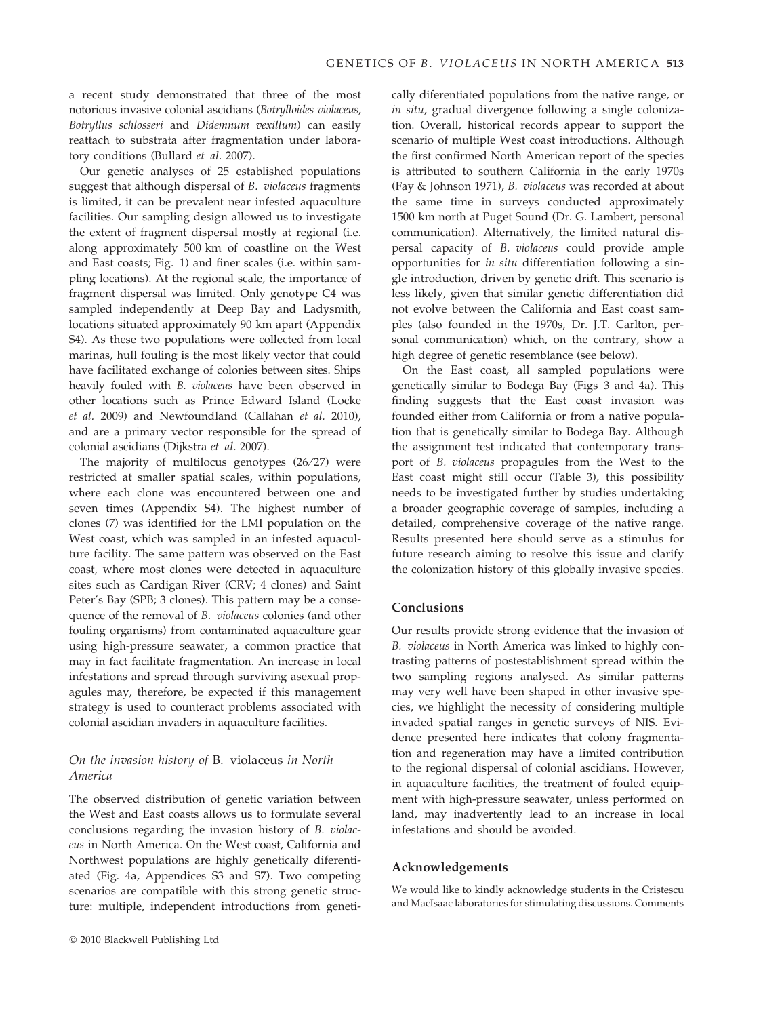a recent study demonstrated that three of the most notorious invasive colonial ascidians (Botrylloides violaceus, Botryllus schlosseri and Didemnum vexillum) can easily reattach to substrata after fragmentation under laboratory conditions (Bullard et al. 2007).

Our genetic analyses of 25 established populations suggest that although dispersal of B. violaceus fragments is limited, it can be prevalent near infested aquaculture facilities. Our sampling design allowed us to investigate the extent of fragment dispersal mostly at regional (i.e. along approximately 500 km of coastline on the West and East coasts; Fig. 1) and finer scales (i.e. within sampling locations). At the regional scale, the importance of fragment dispersal was limited. Only genotype C4 was sampled independently at Deep Bay and Ladysmith, locations situated approximately 90 km apart (Appendix S4). As these two populations were collected from local marinas, hull fouling is the most likely vector that could have facilitated exchange of colonies between sites. Ships heavily fouled with B. violaceus have been observed in other locations such as Prince Edward Island (Locke et al. 2009) and Newfoundland (Callahan et al. 2010), and are a primary vector responsible for the spread of colonial ascidians (Dijkstra et al. 2007).

The majority of multilocus genotypes (26/27) were restricted at smaller spatial scales, within populations, where each clone was encountered between one and seven times (Appendix S4). The highest number of clones (7) was identified for the LMI population on the West coast, which was sampled in an infested aquaculture facility. The same pattern was observed on the East coast, where most clones were detected in aquaculture sites such as Cardigan River (CRV; 4 clones) and Saint Peter's Bay (SPB; 3 clones). This pattern may be a consequence of the removal of B. violaceus colonies (and other fouling organisms) from contaminated aquaculture gear using high-pressure seawater, a common practice that may in fact facilitate fragmentation. An increase in local infestations and spread through surviving asexual propagules may, therefore, be expected if this management strategy is used to counteract problems associated with colonial ascidian invaders in aquaculture facilities.

# On the invasion history of B. violaceus in North America

The observed distribution of genetic variation between the West and East coasts allows us to formulate several conclusions regarding the invasion history of B. violaceus in North America. On the West coast, California and Northwest populations are highly genetically diferentiated (Fig. 4a, Appendices S3 and S7). Two competing scenarios are compatible with this strong genetic structure: multiple, independent introductions from genetically diferentiated populations from the native range, or in situ, gradual divergence following a single colonization. Overall, historical records appear to support the scenario of multiple West coast introductions. Although the first confirmed North American report of the species is attributed to southern California in the early 1970s (Fay & Johnson 1971), B. violaceus was recorded at about the same time in surveys conducted approximately 1500 km north at Puget Sound (Dr. G. Lambert, personal communication). Alternatively, the limited natural dispersal capacity of B. violaceus could provide ample opportunities for in situ differentiation following a single introduction, driven by genetic drift. This scenario is less likely, given that similar genetic differentiation did not evolve between the California and East coast samples (also founded in the 1970s, Dr. J.T. Carlton, personal communication) which, on the contrary, show a high degree of genetic resemblance (see below).

On the East coast, all sampled populations were genetically similar to Bodega Bay (Figs 3 and 4a). This finding suggests that the East coast invasion was founded either from California or from a native population that is genetically similar to Bodega Bay. Although the assignment test indicated that contemporary transport of B. violaceus propagules from the West to the East coast might still occur (Table 3), this possibility needs to be investigated further by studies undertaking a broader geographic coverage of samples, including a detailed, comprehensive coverage of the native range. Results presented here should serve as a stimulus for future research aiming to resolve this issue and clarify the colonization history of this globally invasive species.

# Conclusions

Our results provide strong evidence that the invasion of B. violaceus in North America was linked to highly contrasting patterns of postestablishment spread within the two sampling regions analysed. As similar patterns may very well have been shaped in other invasive species, we highlight the necessity of considering multiple invaded spatial ranges in genetic surveys of NIS. Evidence presented here indicates that colony fragmentation and regeneration may have a limited contribution to the regional dispersal of colonial ascidians. However, in aquaculture facilities, the treatment of fouled equipment with high-pressure seawater, unless performed on land, may inadvertently lead to an increase in local infestations and should be avoided.

#### Acknowledgements

We would like to kindly acknowledge students in the Cristescu and MacIsaac laboratories for stimulating discussions. Comments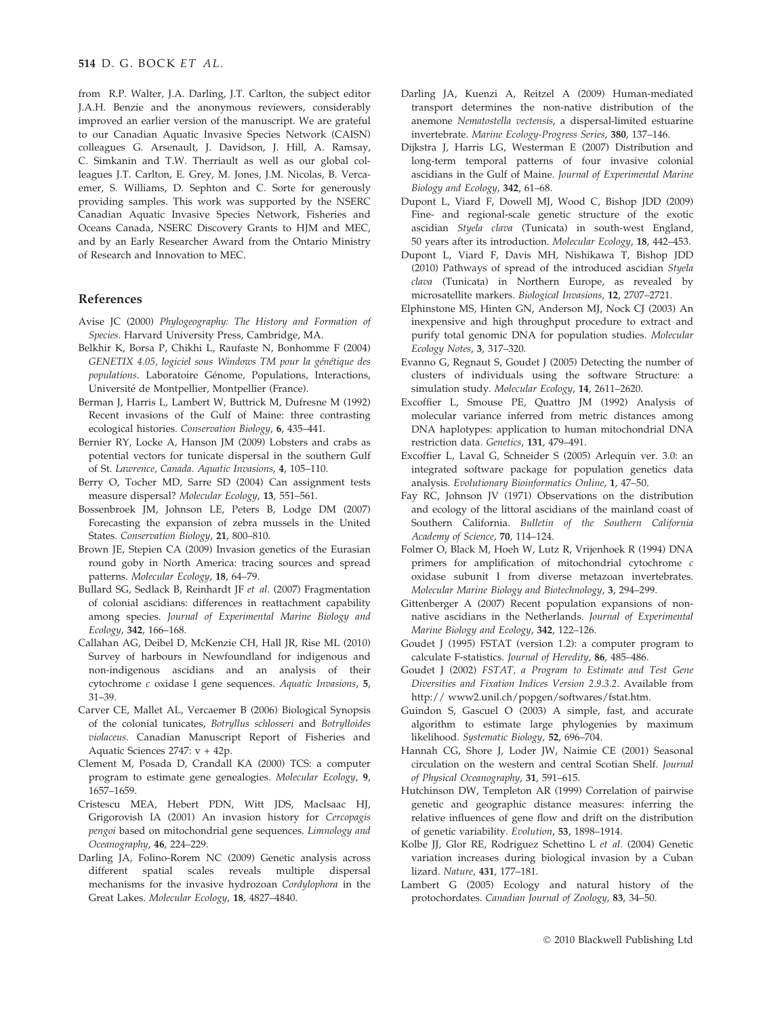from R.P. Walter, J.A. Darling, J.T. Carlton, the subject editor J.A.H. Benzie and the anonymous reviewers, considerably improved an earlier version of the manuscript. We are grateful to our Canadian Aquatic Invasive Species Network (CAISN) colleagues G. Arsenault, J. Davidson, J. Hill, A. Ramsay, C. Simkanin and T.W. Therriault as well as our global colleagues J.T. Carlton, E. Grey, M. Jones, J.M. Nicolas, B. Vercaemer, S. Williams, D. Sephton and C. Sorte for generously providing samples. This work was supported by the NSERC Canadian Aquatic Invasive Species Network, Fisheries and Oceans Canada, NSERC Discovery Grants to HJM and MEC, and by an Early Researcher Award from the Ontario Ministry of Research and Innovation to MEC.

#### References

- Avise JC (2000) Phylogeography: The History and Formation of Species. Harvard University Press, Cambridge, MA.
- Belkhir K, Borsa P, Chikhi L, Raufaste N, Bonhomme F (2004) GENETIX 4.05, logiciel sous Windows TM pour la génétique des populations. Laboratoire Génome, Populations, Interactions, Université de Montpellier, Montpellier (France).
- Berman J, Harris L, Lambert W, Buttrick M, Dufresne M (1992) Recent invasions of the Gulf of Maine: three contrasting ecological histories. Conservation Biology, 6, 435–441.
- Bernier RY, Locke A, Hanson JM (2009) Lobsters and crabs as potential vectors for tunicate dispersal in the southern Gulf of St. Lawrence, Canada. Aquatic Invasions, 4, 105–110.
- Berry O, Tocher MD, Sarre SD (2004) Can assignment tests measure dispersal? Molecular Ecology, 13, 551–561.
- Bossenbroek JM, Johnson LE, Peters B, Lodge DM (2007) Forecasting the expansion of zebra mussels in the United States. Conservation Biology, 21, 800-810.
- Brown JE, Stepien CA (2009) Invasion genetics of the Eurasian round goby in North America: tracing sources and spread patterns. Molecular Ecology, 18, 64–79.
- Bullard SG, Sedlack B, Reinhardt JF et al. (2007) Fragmentation of colonial ascidians: differences in reattachment capability among species. Journal of Experimental Marine Biology and Ecology, 342, 166–168.
- Callahan AG, Deibel D, McKenzie CH, Hall JR, Rise ML (2010) Survey of harbours in Newfoundland for indigenous and non-indigenous ascidians and an analysis of their cytochrome c oxidase I gene sequences. Aquatic Invasions, 5, 31–39.
- Carver CE, Mallet AL, Vercaemer B (2006) Biological Synopsis of the colonial tunicates, Botryllus schlosseri and Botrylloides violaceus. Canadian Manuscript Report of Fisheries and Aquatic Sciences 2747: v + 42p.
- Clement M, Posada D, Crandall KA (2000) TCS: a computer program to estimate gene genealogies. Molecular Ecology, 9, 1657–1659.
- Cristescu MEA, Hebert PDN, Witt JDS, MacIsaac HJ, Grigorovish IA (2001) An invasion history for Cercopagis pengoi based on mitochondrial gene sequences. Limnology and Oceanography, 46, 224–229.
- Darling JA, Folino-Rorem NC (2009) Genetic analysis across different spatial scales reveals multiple dispersal mechanisms for the invasive hydrozoan Cordylophora in the Great Lakes. Molecular Ecology, 18, 4827–4840.
- Darling JA, Kuenzi A, Reitzel A (2009) Human-mediated transport determines the non-native distribution of the anemone Nematostella vectensis, a dispersal-limited estuarine invertebrate. Marine Ecology-Progress Series, 380, 137–146.
- Dijkstra J, Harris LG, Westerman E (2007) Distribution and long-term temporal patterns of four invasive colonial ascidians in the Gulf of Maine. Journal of Experimental Marine Biology and Ecology, 342, 61–68.
- Dupont L, Viard F, Dowell MJ, Wood C, Bishop JDD (2009) Fine- and regional-scale genetic structure of the exotic ascidian Styela clava (Tunicata) in south-west England, 50 years after its introduction. Molecular Ecology, 18, 442–453.
- Dupont L, Viard F, Davis MH, Nishikawa T, Bishop JDD (2010) Pathways of spread of the introduced ascidian Styela clava (Tunicata) in Northern Europe, as revealed by microsatellite markers. Biological Invasions, 12, 2707–2721.
- Elphinstone MS, Hinten GN, Anderson MJ, Nock CJ (2003) An inexpensive and high throughput procedure to extract and purify total genomic DNA for population studies. Molecular Ecology Notes, 3, 317–320.
- Evanno G, Regnaut S, Goudet J (2005) Detecting the number of clusters of individuals using the software Structure: a simulation study. Molecular Ecology, 14, 2611-2620.
- Excoffier L, Smouse PE, Quattro JM (1992) Analysis of molecular variance inferred from metric distances among DNA haplotypes: application to human mitochondrial DNA restriction data. Genetics, 131, 479–491.
- Excoffier L, Laval G, Schneider S (2005) Arlequin ver. 3.0: an integrated software package for population genetics data analysis. Evolutionary Bioinformatics Online, 1, 47–50.
- Fay RC, Johnson JV (1971) Observations on the distribution and ecology of the littoral ascidians of the mainland coast of Southern California. Bulletin of the Southern California Academy of Science, 70, 114–124.
- Folmer O, Black M, Hoeh W, Lutz R, Vrijenhoek R (1994) DNA primers for amplification of mitochondrial cytochrome c oxidase subunit I from diverse metazoan invertebrates. Molecular Marine Biology and Biotechnology, 3, 294–299.
- Gittenberger A (2007) Recent population expansions of nonnative ascidians in the Netherlands. Journal of Experimental Marine Biology and Ecology, 342, 122–126.
- Goudet J (1995) FSTAT (version 1.2): a computer program to calculate F-statistics. Journal of Heredity, 86, 485–486.
- Goudet J (2002) FSTAT, a Program to Estimate and Test Gene Diversities and Fixation Indices Version 2.9.3.2. Available from http:// www2.unil.ch/popgen/softwares/fstat.htm.
- Guindon S, Gascuel O (2003) A simple, fast, and accurate algorithm to estimate large phylogenies by maximum likelihood. Systematic Biology, 52, 696-704.
- Hannah CG, Shore J, Loder JW, Naimie CE (2001) Seasonal circulation on the western and central Scotian Shelf. Journal of Physical Oceanography, 31, 591-615.
- Hutchinson DW, Templeton AR (1999) Correlation of pairwise genetic and geographic distance measures: inferring the relative influences of gene flow and drift on the distribution of genetic variability. Evolution, 53, 1898–1914.
- Kolbe JJ, Glor RE, Rodriguez Schettino L et al. (2004) Genetic variation increases during biological invasion by a Cuban lizard. Nature, 431, 177–181.
- Lambert G (2005) Ecology and natural history of the protochordates. Canadian Journal of Zoology, 83, 34–50.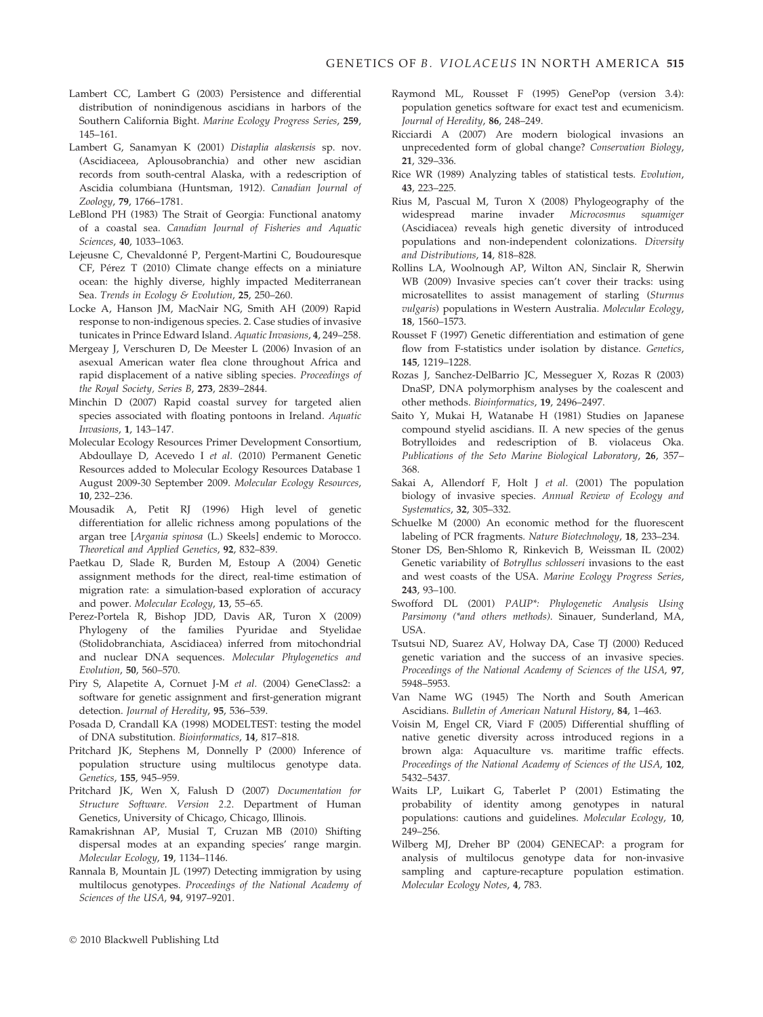- Lambert CC, Lambert G (2003) Persistence and differential distribution of nonindigenous ascidians in harbors of the Southern California Bight. Marine Ecology Progress Series, 259, 145–161.
- Lambert G, Sanamyan K (2001) Distaplia alaskensis sp. nov. (Ascidiaceea, Aplousobranchia) and other new ascidian records from south-central Alaska, with a redescription of Ascidia columbiana (Huntsman, 1912). Canadian Journal of Zoology, 79, 1766–1781.
- LeBlond PH (1983) The Strait of Georgia: Functional anatomy of a coastal sea. Canadian Journal of Fisheries and Aquatic Sciences, 40, 1033–1063.
- Lejeusne C, Chevaldonné P, Pergent-Martini C, Boudouresque CF, Pérez T (2010) Climate change effects on a miniature ocean: the highly diverse, highly impacted Mediterranean Sea. Trends in Ecology & Evolution, 25, 250-260.
- Locke A, Hanson JM, MacNair NG, Smith AH (2009) Rapid response to non-indigenous species. 2. Case studies of invasive tunicates in Prince Edward Island. Aquatic Invasions, 4, 249–258.
- Mergeay J, Verschuren D, De Meester L (2006) Invasion of an asexual American water flea clone throughout Africa and rapid displacement of a native sibling species. Proceedings of the Royal Society, Series B, 273, 2839–2844.
- Minchin D (2007) Rapid coastal survey for targeted alien species associated with floating pontoons in Ireland. Aquatic Invasions, 1, 143–147.
- Molecular Ecology Resources Primer Development Consortium, Abdoullaye D, Acevedo I et al. (2010) Permanent Genetic Resources added to Molecular Ecology Resources Database 1 August 2009-30 September 2009. Molecular Ecology Resources, 10, 232–236.
- Mousadik A, Petit RJ (1996) High level of genetic differentiation for allelic richness among populations of the argan tree [Argania spinosa (L.) Skeels] endemic to Morocco. Theoretical and Applied Genetics, 92, 832–839.
- Paetkau D, Slade R, Burden M, Estoup A (2004) Genetic assignment methods for the direct, real-time estimation of migration rate: a simulation-based exploration of accuracy and power. Molecular Ecology, 13, 55–65.
- Perez-Portela R, Bishop JDD, Davis AR, Turon X (2009) Phylogeny of the families Pyuridae and Styelidae (Stolidobranchiata, Ascidiacea) inferred from mitochondrial and nuclear DNA sequences. Molecular Phylogenetics and Evolution, 50, 560–570.
- Piry S, Alapetite A, Cornuet J-M et al. (2004) GeneClass2: a software for genetic assignment and first-generation migrant detection. Journal of Heredity, 95, 536–539.
- Posada D, Crandall KA (1998) MODELTEST: testing the model of DNA substitution. Bioinformatics, 14, 817–818.
- Pritchard JK, Stephens M, Donnelly P (2000) Inference of population structure using multilocus genotype data. Genetics, 155, 945–959.
- Pritchard JK, Wen X, Falush D (2007) Documentation for Structure Software. Version 2.2. Department of Human Genetics, University of Chicago, Chicago, Illinois.
- Ramakrishnan AP, Musial T, Cruzan MB (2010) Shifting dispersal modes at an expanding species' range margin. Molecular Ecology, 19, 1134–1146.
- Rannala B, Mountain JL (1997) Detecting immigration by using multilocus genotypes. Proceedings of the National Academy of Sciences of the USA, 94, 9197–9201.
- Raymond ML, Rousset F (1995) GenePop (version 3.4): population genetics software for exact test and ecumenicism. Journal of Heredity, 86, 248–249.
- Ricciardi A (2007) Are modern biological invasions an unprecedented form of global change? Conservation Biology, 21, 329–336.
- Rice WR (1989) Analyzing tables of statistical tests. Evolution, 43, 223–225.
- Rius M, Pascual M, Turon X (2008) Phylogeography of the widespread marine invader Microcosmus squamiger (Ascidiacea) reveals high genetic diversity of introduced populations and non-independent colonizations. Diversity and Distributions, 14, 818–828.
- Rollins LA, Woolnough AP, Wilton AN, Sinclair R, Sherwin WB (2009) Invasive species can't cover their tracks: using microsatellites to assist management of starling (Sturnus vulgaris) populations in Western Australia. Molecular Ecology, 18, 1560–1573.
- Rousset F (1997) Genetic differentiation and estimation of gene flow from F-statistics under isolation by distance. Genetics, 145, 1219–1228.
- Rozas J, Sanchez-DelBarrio JC, Messeguer X, Rozas R (2003) DnaSP, DNA polymorphism analyses by the coalescent and other methods. Bioinformatics, 19, 2496–2497.
- Saito Y, Mukai H, Watanabe H (1981) Studies on Japanese compound styelid ascidians. II. A new species of the genus Botrylloides and redescription of B. violaceus Oka. Publications of the Seto Marine Biological Laboratory, 26, 357– 368.
- Sakai A, Allendorf F, Holt J et al. (2001) The population biology of invasive species. Annual Review of Ecology and Systematics, 32, 305–332.
- Schuelke M (2000) An economic method for the fluorescent labeling of PCR fragments. Nature Biotechnology, 18, 233–234.
- Stoner DS, Ben-Shlomo R, Rinkevich B, Weissman IL (2002) Genetic variability of Botryllus schlosseri invasions to the east and west coasts of the USA. Marine Ecology Progress Series, 243, 93–100.
- Swofford DL (2001) PAUP\*: Phylogenetic Analysis Using Parsimony (\*and others methods). Sinauer, Sunderland, MA, USA.
- Tsutsui ND, Suarez AV, Holway DA, Case TJ (2000) Reduced genetic variation and the success of an invasive species. Proceedings of the National Academy of Sciences of the USA, 97, 5948–5953.
- Van Name WG (1945) The North and South American Ascidians. Bulletin of American Natural History, 84, 1–463.
- Voisin M, Engel CR, Viard F (2005) Differential shuffling of native genetic diversity across introduced regions in a brown alga: Aquaculture vs. maritime traffic effects. Proceedings of the National Academy of Sciences of the USA, 102, 5432–5437.
- Waits LP, Luikart G, Taberlet P (2001) Estimating the probability of identity among genotypes in natural populations: cautions and guidelines. Molecular Ecology, 10, 249–256.
- Wilberg MJ, Dreher BP (2004) GENECAP: a program for analysis of multilocus genotype data for non-invasive sampling and capture-recapture population estimation. Molecular Ecology Notes, 4, 783.